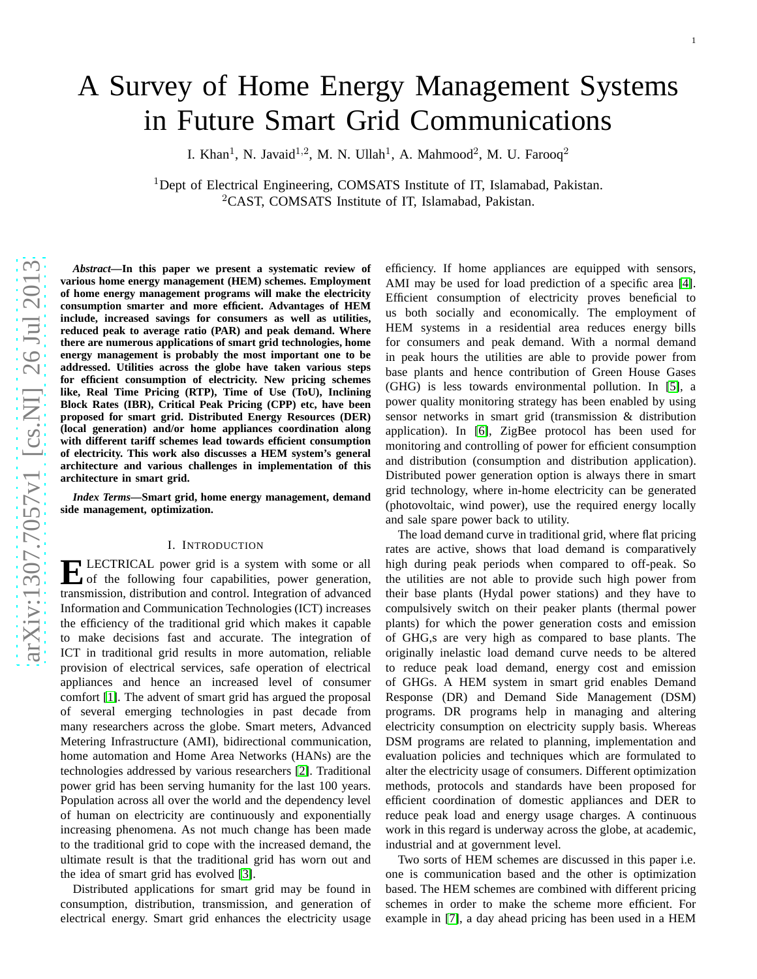# A Survey of Home Energy Management Systems in Future Smart Grid Communications

I. Khan<sup>1</sup>, N. Javaid<sup>1,2</sup>, M. N. Ullah<sup>1</sup>, A. Mahmood<sup>2</sup>, M. U. Farooq<sup>2</sup>

<sup>1</sup>Dept of Electrical Engineering, COMSATS Institute of IT, Islamabad, Pakistan. <sup>2</sup>CAST, COMSATS Institute of IT, Islamabad, Pakistan.

*Abstract***—In this paper we present a systematic review of various home energy management (HEM) schemes. Employment** of home energy management programs will make the electricity **consumption smarter and more efficient. Advantages of HEM include, increased savings for consumers as well as utilities, reduced peak to average ratio (PAR) and peak demand. Where there are numerous applications of smart grid technologies, home energy management is probably the most important one to be addressed. Utilities across the globe have taken various steps for efficient consumption of electricity. New pricing schemes like, Real Time Pricing (RTP), Time of Use (ToU), Inclining Block Rates (IBR), Critical Peak Pricing (CPP) etc, have bee n proposed for smart grid. Distributed Energy Resources (DER ) (local generation) and/or home appliances coordination along with different tariff schemes lead towards efficient consumption of electricity. This work also discusses a HEM system's general architecture and various challenges in implementation of this architecture in smart grid.**

*Index Terms***—Smart grid, home energy management, demand side management, optimization.**

## I. INTRODUCTION

**ELECTRICAL** power grid is a system with some or all of the following four capabilities, power generation, of the following four capabilities, power generation, transmission, distribution and control. Integration of advanced Information and Communication Technologies (ICT) increases the efficiency of the traditional grid which makes it capable to make decisions fast and accurate. The integration of ICT in traditional grid results in more automation, reliabl e provision of electrical services, safe operation of electrical appliances and hence an increased level of consumer comfort [\[1\]](#page-5-0). The advent of smart grid has argued the proposal of several emerging technologies in past decade from many researchers across the globe. Smart meters, Advanced Metering Infrastructure (AMI), bidirectional communication, home automation and Home Area Networks (HANs) are the technologies addressed by various researchers [\[2\]](#page-5-1). Traditional power grid has been serving humanity for the last 100 years. Population across all over the world and the dependency leve l of human on electricity are continuously and exponentially increasing phenomena. As not much change has been made to the traditional grid to cope with the increased demand, th e ultimate result is that the traditional grid has worn out and the idea of smart grid has evolved [\[3\]](#page-5-2).

Distributed applications for smart grid may be found in consumption, distribution, transmission, and generation of electrical energy. Smart grid enhances the electricity usage efficiency. If home appliances are equipped with sensors, AMI may be used for load prediction of a specific area [\[4\]](#page-5-3). Efficient consumption of electricity proves beneficial to us both socially and economically. The employment of HEM systems in a residential area reduces energy bills for consumers and peak demand. With a normal demand in peak hours the utilities are able to provide power from base plants and hence contribution of Green House Gases (GHG) is less towards environmental pollution. In [\[5\]](#page-5-4), a power quality monitoring strategy has been enabled by using sensor networks in smart grid (transmission & distribution application). In [\[6\]](#page-5-5), ZigBee protocol has been used for monitoring and controlling of power for efficient consumption and distribution (consumption and distribution application). Distributed power generation option is always there in smar t grid technology, where in-home electricity can be generate d (photovoltaic, wind power), use the required energy locall y and sale spare power back to utility.

The load demand curve in traditional grid, where flat pricing rates are active, shows that load demand is comparatively high during peak periods when compared to off-peak. So the utilities are not able to provide such high power from their base plants (Hydal power stations) and they have to compulsively switch on their peaker plants (thermal power plants) for which the power generation costs and emission of GHG,s are very high as compared to base plants. The originally inelastic load demand curve needs to be altered to reduce peak load demand, energy cost and emission of GHGs. A HEM system in smart grid enables Demand Response (DR) and Demand Side Management (DSM) programs. DR programs help in managing and altering electricity consumption on electricity supply basis. Whereas DSM programs are related to planning, implementation and evaluation policies and techniques which are formulated to alter the electricity usage of consumers. Different optimization methods, protocols and standards have been proposed for efficient coordination of domestic appliances and DER to reduce peak load and energy usage charges. A continuous work in this regard is underway across the globe, at academic , industrial and at government level.

Two sorts of HEM schemes are discussed in this paper i.e. one is communication based and the other is optimization based. The HEM schemes are combined with different pricing schemes in order to make the scheme more efficient. For example in [\[7\]](#page-5-6), a day ahead pricing has been used in a HEM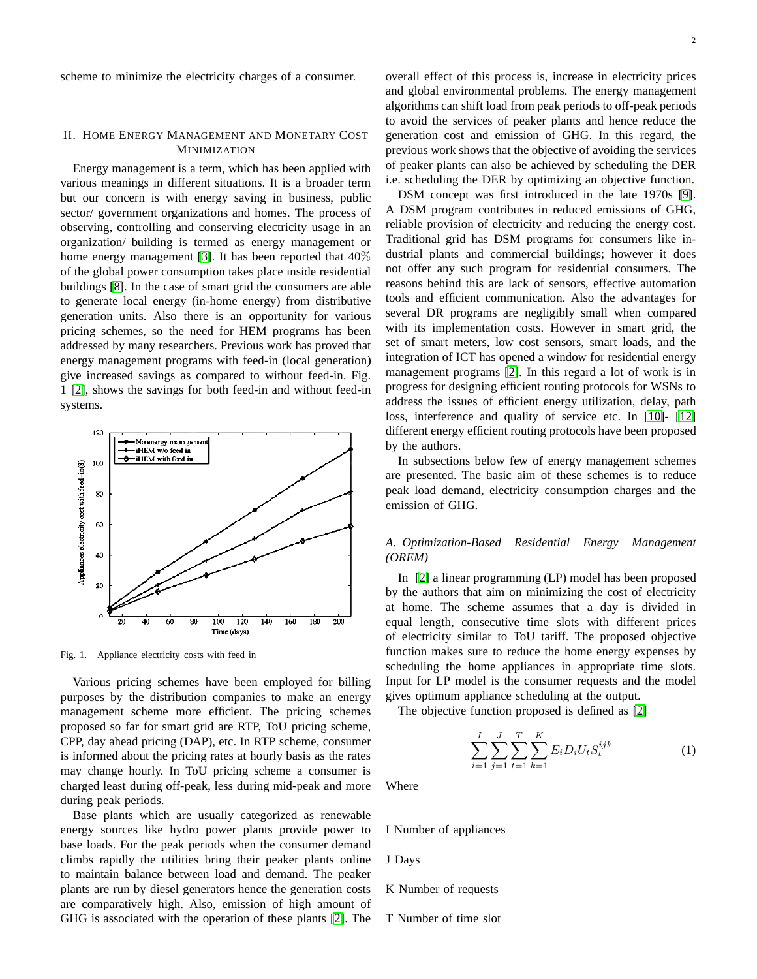scheme to minimize the electricity charges of a consumer.

## II. HOME ENERGY MANAGEMENT AND MONETARY COST MINIMIZATION

Energy management is a term, which has been applied with various meanings in different situations. It is a broader term but our concern is with energy saving in business, public sector/ government organizations and homes. The process of observing, controlling and conserving electricity usage in an organization/ building is termed as energy management or home energy management [\[3\]](#page-5-2). It has been reported that  $40\%$ of the global power consumption takes place inside residential buildings [\[8\]](#page-5-7). In the case of smart grid the consumers are able to generate local energy (in-home energy) from distributive generation units. Also there is an opportunity for various pricing schemes, so the need for HEM programs has been addressed by many researchers. Previous work has proved that energy management programs with feed-in (local generation) give increased savings as compared to without feed-in. Fig. 1 [\[2\]](#page-5-1), shows the savings for both feed-in and without feed-in systems.



Fig. 1. Appliance electricity costs with feed in

Various pricing schemes have been employed for billing purposes by the distribution companies to make an energy management scheme more efficient. The pricing schemes proposed so far for smart grid are RTP, ToU pricing scheme, CPP, day ahead pricing (DAP), etc. In RTP scheme, consumer is informed about the pricing rates at hourly basis as the rates may change hourly. In ToU pricing scheme a consumer is charged least during off-peak, less during mid-peak and more during peak periods.

Base plants which are usually categorized as renewable energy sources like hydro power plants provide power to base loads. For the peak periods when the consumer demand climbs rapidly the utilities bring their peaker plants online to maintain balance between load and demand. The peaker plants are run by diesel generators hence the generation costs are comparatively high. Also, emission of high amount of GHG is associated with the operation of these plants [\[2\]](#page-5-1). The

overall effect of this process is, increase in electricity prices and global environmental problems. The energy management algorithms can shift load from peak periods to off-peak periods to avoid the services of peaker plants and hence reduce the generation cost and emission of GHG. In this regard, the previous work shows that the objective of avoiding the services of peaker plants can also be achieved by scheduling the DER i.e. scheduling the DER by optimizing an objective function.

DSM concept was first introduced in the late 1970s [\[9\]](#page-5-8). A DSM program contributes in reduced emissions of GHG, reliable provision of electricity and reducing the energy cost. Traditional grid has DSM programs for consumers like industrial plants and commercial buildings; however it does not offer any such program for residential consumers. The reasons behind this are lack of sensors, effective automation tools and efficient communication. Also the advantages for several DR programs are negligibly small when compared with its implementation costs. However in smart grid, the set of smart meters, low cost sensors, smart loads, and the integration of ICT has opened a window for residential energy management programs [\[2\]](#page-5-1). In this regard a lot of work is in progress for designing efficient routing protocols for WSNs to address the issues of efficient energy utilization, delay, path loss, interference and quality of service etc. In [\[10\]](#page-5-9)- [\[12\]](#page-5-10) different energy efficient routing protocols have been proposed by the authors.

In subsections below few of energy management schemes are presented. The basic aim of these schemes is to reduce peak load demand, electricity consumption charges and the emission of GHG.

## *A. Optimization-Based Residential Energy Management (OREM)*

In [\[2\]](#page-5-1) a linear programming (LP) model has been proposed by the authors that aim on minimizing the cost of electricity at home. The scheme assumes that a day is divided in equal length, consecutive time slots with different prices of electricity similar to ToU tariff. The proposed objective function makes sure to reduce the home energy expenses by scheduling the home appliances in appropriate time slots. Input for LP model is the consumer requests and the model gives optimum appliance scheduling at the output.

The objective function proposed is defined as [\[2\]](#page-5-1)

$$
\sum_{i=1}^{I} \sum_{j=1}^{J} \sum_{t=1}^{T} \sum_{k=1}^{K} E_i D_i U_t S_t^{ijk}
$$
 (1)

Where

I Number of appliances

J Days

- K Number of requests
- T Number of time slot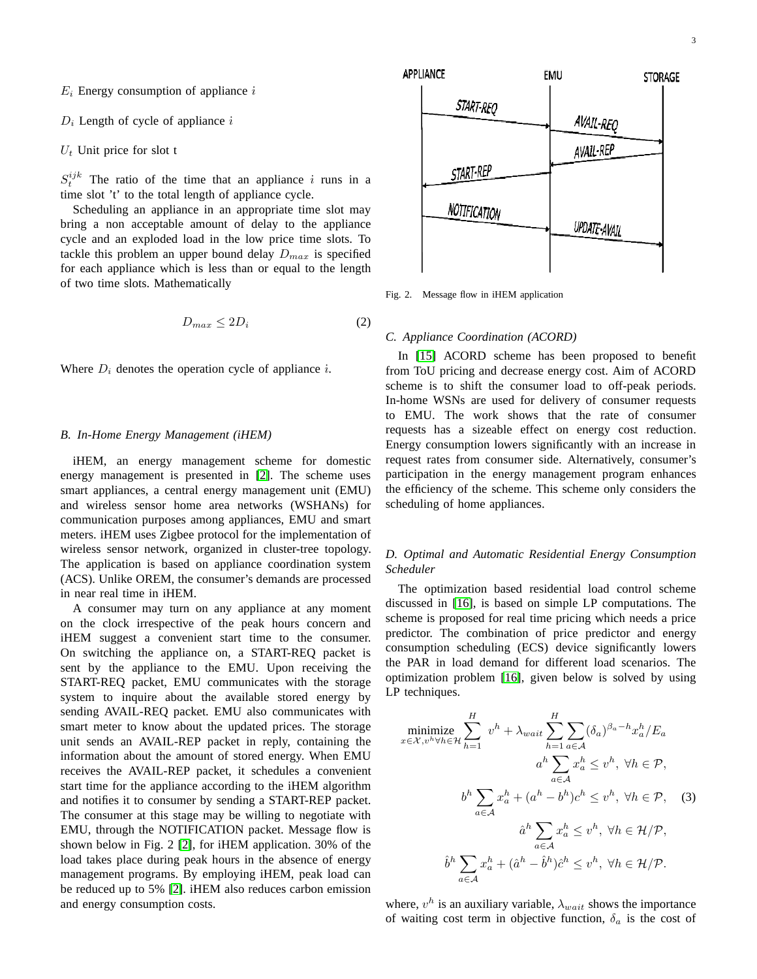$E_i$  Energy consumption of appliance  $i$ 

 $D_i$  Length of cycle of appliance  $i$ 

 $U_t$  Unit price for slot t

 $S_t^{ijk}$  The ratio of the time that an appliance i runs in a time slot 't' to the total length of appliance cycle.

Scheduling an appliance in an appropriate time slot may bring a non acceptable amount of delay to the appliance cycle and an exploded load in the low price time slots. To tackle this problem an upper bound delay  $D_{max}$  is specified for each appliance which is less than or equal to the length of two time slots. Mathematically

$$
D_{max} \le 2D_i \tag{2}
$$

Where  $D_i$  denotes the operation cycle of appliance *i*.

#### *B. In-Home Energy Management (iHEM)*

iHEM, an energy management scheme for domestic energy management is presented in [\[2\]](#page-5-1). The scheme uses smart appliances, a central energy management unit (EMU) and wireless sensor home area networks (WSHANs) for communication purposes among appliances, EMU and smart meters. iHEM uses Zigbee protocol for the implementation of wireless sensor network, organized in cluster-tree topology. The application is based on appliance coordination system (ACS). Unlike OREM, the consumer's demands are processed in near real time in iHEM.

A consumer may turn on any appliance at any moment on the clock irrespective of the peak hours concern and iHEM suggest a convenient start time to the consumer. On switching the appliance on, a START-REQ packet is sent by the appliance to the EMU. Upon receiving the START-REQ packet, EMU communicates with the storage system to inquire about the available stored energy by sending AVAIL-REQ packet. EMU also communicates with smart meter to know about the updated prices. The storage unit sends an AVAIL-REP packet in reply, containing the information about the amount of stored energy. When EMU receives the AVAIL-REP packet, it schedules a convenient start time for the appliance according to the iHEM algorithm and notifies it to consumer by sending a START-REP packet. The consumer at this stage may be willing to negotiate with EMU, through the NOTIFICATION packet. Message flow is shown below in Fig. 2 [\[2\]](#page-5-1), for iHEM application. 30% of the load takes place during peak hours in the absence of energy management programs. By employing iHEM, peak load can be reduced up to 5% [\[2\]](#page-5-1). iHEM also reduces carbon emission and energy consumption costs.



Fig. 2. Message flow in iHEM application

#### *C. Appliance Coordination (ACORD)*

In [\[15\]](#page-5-11) ACORD scheme has been proposed to benefit from ToU pricing and decrease energy cost. Aim of ACORD scheme is to shift the consumer load to off-peak periods. In-home WSNs are used for delivery of consumer requests to EMU. The work shows that the rate of consumer requests has a sizeable effect on energy cost reduction. Energy consumption lowers significantly with an increase in request rates from consumer side. Alternatively, consumer's participation in the energy management program enhances the efficiency of the scheme. This scheme only considers the scheduling of home appliances.

## *D. Optimal and Automatic Residential Energy Consumption Scheduler*

The optimization based residential load control scheme discussed in [\[16\]](#page-5-12), is based on simple LP computations. The scheme is proposed for real time pricing which needs a price predictor. The combination of price predictor and energy consumption scheduling (ECS) device significantly lowers the PAR in load demand for different load scenarios. The optimization problem [\[16\]](#page-5-12), given below is solved by using LP techniques.

$$
\underset{x \in \mathcal{X}, v^h \forall h \in \mathcal{H}}{\text{minimize}} \sum_{h=1}^{H} v^h + \lambda_{wait} \sum_{h=1}^{H} \sum_{a \in \mathcal{A}} (\delta_a)^{\beta_a - h} x_a^h / E_a
$$
\n
$$
a^h \sum_{a \in \mathcal{A}} x_a^h \le v^h, \ \forall h \in \mathcal{P},
$$
\n
$$
b^h \sum_{a \in \mathcal{A}} x_a^h + (a^h - b^h)c^h \le v^h, \ \forall h \in \mathcal{P}, \quad (3)
$$
\n
$$
\hat{a}^h \sum_{a \in \mathcal{A}} x_a^h \le v^h, \ \forall h \in \mathcal{H}/\mathcal{P},
$$
\n
$$
\hat{b}^h \sum_{a \in \mathcal{A}} x_a^h + (\hat{a}^h - \hat{b}^h)\hat{c}^h \le v^h, \ \forall h \in \mathcal{H}/\mathcal{P}.
$$

where,  $v^h$  is an auxiliary variable,  $\lambda_{wait}$  shows the importance of waiting cost term in objective function,  $\delta_a$  is the cost of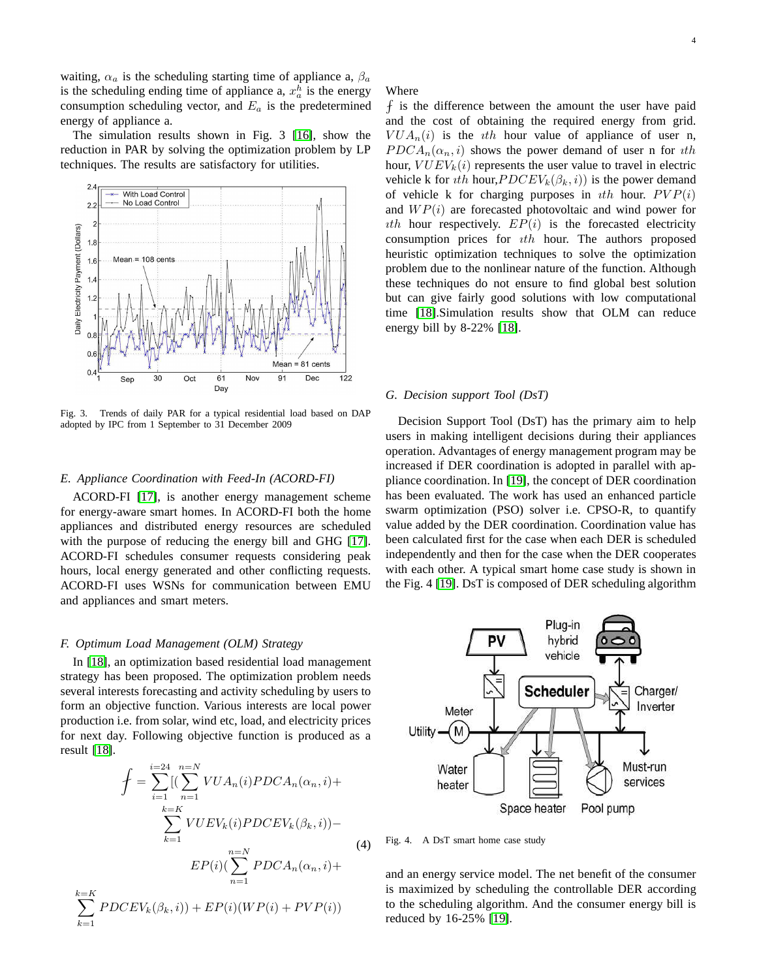waiting,  $\alpha_a$  is the scheduling starting time of appliance a,  $\beta_a$ is the scheduling ending time of appliance a,  $x_a^h$  is the energy consumption scheduling vector, and  $E_a$  is the predetermined energy of appliance a.

The simulation results shown in Fig. 3 [\[16\]](#page-5-12), show the reduction in PAR by solving the optimization problem by LP techniques. The results are satisfactory for utilities.



Fig. 3. Trends of daily PAR for a typical residential load based on DAP adopted by IPC from 1 September to 31 December 2009

#### *E. Appliance Coordination with Feed-In (ACORD-FI)*

ACORD-FI [\[17\]](#page-5-13), is another energy management scheme for energy-aware smart homes. In ACORD-FI both the home appliances and distributed energy resources are scheduled with the purpose of reducing the energy bill and GHG [\[17\]](#page-5-13). ACORD-FI schedules consumer requests considering peak hours, local energy generated and other conflicting requests. ACORD-FI uses WSNs for communication between EMU and appliances and smart meters.

#### *F. Optimum Load Management (OLM) Strategy*

In [\[18\]](#page-5-14), an optimization based residential load management strategy has been proposed. The optimization problem needs several interests forecasting and activity scheduling by users to form an objective function. Various interests are local power production i.e. from solar, wind etc, load, and electricity prices for next day. Following objective function is produced as a result [\[18\]](#page-5-14).

$$
\hat{f} = \sum_{i=1}^{i=24} \left[ (\sum_{n=1}^{n=N} VUA_n(i) PDCA_n(\alpha_n, i) + \sum_{k=K}^{k=K} VUEV_k(i) PDCEV_k(\beta_k, i)) - \sum_{n=1}^{n=N} PDCA_n(\alpha_n, i) + \sum_{n=1}^{n=N} PDCA_n(\alpha_n, i) + \sum_{n=1}^{n=N} PDCA_n(\alpha_n, i) + \sum_{n=1}^{n=N} PDCA_n(\alpha_n, i) + \sum_{n=1}^{n=N} PDCA_n(\alpha_n, i) + \sum_{n=1}^{n=N} PDCA_n(\alpha_n, i) + \sum_{n=1}^{n=N} PDCA_n(\alpha_n, i) + \sum_{n=1}^{n=N} PDCA_n(\alpha_n, i) + \sum_{n=1}^{n=N} PDCA_n(\alpha_n, i) + \sum_{n=1}^{n=N} PDCA_n(\alpha_n, i) + \sum_{n=1}^{n=N} PDCA_n(\alpha_n, i) + \sum_{n=1}^{n=N} PDCA_n(\alpha_n, i) + \sum_{n=1}^{n=N} PDCA_n(\alpha_n, i) + \sum_{n=1}^{n=N} PDCA_n(\alpha_n, i) + \sum_{n=1}^{n=N} PDCA_n(\alpha_n, i) + \sum_{n=1}^{n=N} PDCA_n(\alpha_n, i) + \sum_{n=1}^{n=N} PDCA_n(\alpha_n, i) + \sum_{n=1}^{n=N} PDCA_n(\alpha_n, i) + \sum_{n=1}^{n=N} PDCA_n(\alpha_n, i) + \sum_{n=1}^{n=N} PDCA_n(\alpha_n, i) + \sum_{n=1}^{n=N} PDCA_n(\alpha_n, i) + \sum_{n=1}^{n=N} PDCA_n(\alpha_n, i) + \sum_{n=1}^{n=N} PDCA_n(\alpha_n, i) + \sum_{n=1}^{n=N} PDCA_n(\alpha_n, i) + \sum_{n=1}^{n=N} PDCA_n(\alpha_n, i) + \sum_{n=1}^{n=N} PDCA_n(\alpha_n, i) + \sum_{n=1}^{n=N} PDCA_n(\alpha_n, i) + \sum_{n=1}^{n=N} PDCA_n(\alpha_n, i) + \sum_{n=1}^{n=N} PDCA_n(\alpha_n, i) + \sum_{n=1}^{n=N} PDCA_n(\alpha_n, i) + \sum_{n=1}^{n=N} PDCA_n(\alpha_n, i) +
$$

$$
\sum_{k=1}^{k=K} PDCEV_k(\beta_k, i) + EP(i)(WP(i) + PVP(i))
$$

#### Where

 $f$  is the difference between the amount the user have paid and the cost of obtaining the required energy from grid.  $VUA_n(i)$  is the *i*th hour value of appliance of user n,  $PDCA_n(\alpha_n, i)$  shows the power demand of user n for  $uth$ hour,  $VUEV<sub>k</sub>(i)$  represents the user value to travel in electric vehicle k for *ith* hour,  $P DCEV_k(\beta_k, i)$  is the power demand of vehicle k for charging purposes in  $ith$  hour.  $PVP(i)$ and  $WP(i)$  are forecasted photovoltaic and wind power for *ith* hour respectively.  $EP(i)$  is the forecasted electricity consumption prices for  $ith$  hour. The authors proposed heuristic optimization techniques to solve the optimization problem due to the nonlinear nature of the function. Although these techniques do not ensure to find global best solution but can give fairly good solutions with low computational time [\[18\]](#page-5-14).Simulation results show that OLM can reduce energy bill by 8-22% [\[18\]](#page-5-14).

## *G. Decision support Tool (DsT)*

Decision Support Tool (DsT) has the primary aim to help users in making intelligent decisions during their appliances operation. Advantages of energy management program may be increased if DER coordination is adopted in parallel with appliance coordination. In [\[19\]](#page-5-15), the concept of DER coordination has been evaluated. The work has used an enhanced particle swarm optimization (PSO) solver i.e. CPSO-R, to quantify value added by the DER coordination. Coordination value has been calculated first for the case when each DER is scheduled independently and then for the case when the DER cooperates with each other. A typical smart home case study is shown in the Fig. 4 [\[19\]](#page-5-15). DsT is composed of DER scheduling algorithm



Fig. 4. A DsT smart home case study

and an energy service model. The net benefit of the consumer is maximized by scheduling the controllable DER according to the scheduling algorithm. And the consumer energy bill is reduced by 16-25% [\[19\]](#page-5-15).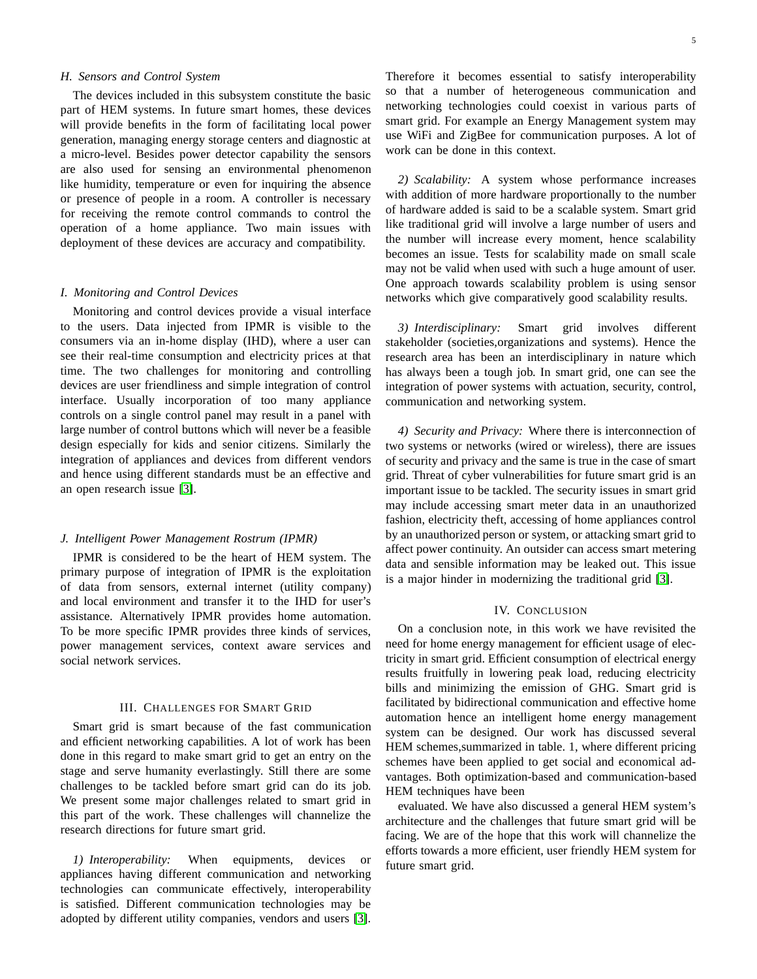## *H. Sensors and Control System*

The devices included in this subsystem constitute the basic part of HEM systems. In future smart homes, these devices will provide benefits in the form of facilitating local power generation, managing energy storage centers and diagnostic at a micro-level. Besides power detector capability the sensors are also used for sensing an environmental phenomenon like humidity, temperature or even for inquiring the absence or presence of people in a room. A controller is necessary for receiving the remote control commands to control the operation of a home appliance. Two main issues with deployment of these devices are accuracy and compatibility.

#### *I. Monitoring and Control Devices*

Monitoring and control devices provide a visual interface to the users. Data injected from IPMR is visible to the consumers via an in-home display (IHD), where a user can see their real-time consumption and electricity prices at that time. The two challenges for monitoring and controlling devices are user friendliness and simple integration of control interface. Usually incorporation of too many appliance controls on a single control panel may result in a panel with large number of control buttons which will never be a feasible design especially for kids and senior citizens. Similarly the integration of appliances and devices from different vendors and hence using different standards must be an effective and an open research issue [\[3\]](#page-5-2).

### *J. Intelligent Power Management Rostrum (IPMR)*

IPMR is considered to be the heart of HEM system. The primary purpose of integration of IPMR is the exploitation of data from sensors, external internet (utility company) and local environment and transfer it to the IHD for user's assistance. Alternatively IPMR provides home automation. To be more specific IPMR provides three kinds of services, power management services, context aware services and social network services.

## III. CHALLENGES FOR SMART GRID

Smart grid is smart because of the fast communication and efficient networking capabilities. A lot of work has been done in this regard to make smart grid to get an entry on the stage and serve humanity everlastingly. Still there are some challenges to be tackled before smart grid can do its job. We present some major challenges related to smart grid in this part of the work. These challenges will channelize the research directions for future smart grid.

*1) Interoperability:* When equipments, devices or appliances having different communication and networking technologies can communicate effectively, interoperability is satisfied. Different communication technologies may be adopted by different utility companies, vendors and users [\[3\]](#page-5-2).

Therefore it becomes essential to satisfy interoperability so that a number of heterogeneous communication and networking technologies could coexist in various parts of smart grid. For example an Energy Management system may use WiFi and ZigBee for communication purposes. A lot of work can be done in this context.

*2) Scalability:* A system whose performance increases with addition of more hardware proportionally to the number of hardware added is said to be a scalable system. Smart grid like traditional grid will involve a large number of users and the number will increase every moment, hence scalability becomes an issue. Tests for scalability made on small scale may not be valid when used with such a huge amount of user. One approach towards scalability problem is using sensor networks which give comparatively good scalability results.

*3) Interdisciplinary:* Smart grid involves different stakeholder (societies,organizations and systems). Hence the research area has been an interdisciplinary in nature which has always been a tough job. In smart grid, one can see the integration of power systems with actuation, security, control, communication and networking system.

*4) Security and Privacy:* Where there is interconnection of two systems or networks (wired or wireless), there are issues of security and privacy and the same is true in the case of smart grid. Threat of cyber vulnerabilities for future smart grid is an important issue to be tackled. The security issues in smart grid may include accessing smart meter data in an unauthorized fashion, electricity theft, accessing of home appliances control by an unauthorized person or system, or attacking smart grid to affect power continuity. An outsider can access smart metering data and sensible information may be leaked out. This issue is a major hinder in modernizing the traditional grid [\[3\]](#page-5-2).

## IV. CONCLUSION

On a conclusion note, in this work we have revisited the need for home energy management for efficient usage of electricity in smart grid. Efficient consumption of electrical energy results fruitfully in lowering peak load, reducing electricity bills and minimizing the emission of GHG. Smart grid is facilitated by bidirectional communication and effective home automation hence an intelligent home energy management system can be designed. Our work has discussed several HEM schemes,summarized in table. 1, where different pricing schemes have been applied to get social and economical advantages. Both optimization-based and communication-based HEM techniques have been

evaluated. We have also discussed a general HEM system's architecture and the challenges that future smart grid will be facing. We are of the hope that this work will channelize the efforts towards a more efficient, user friendly HEM system for future smart grid.